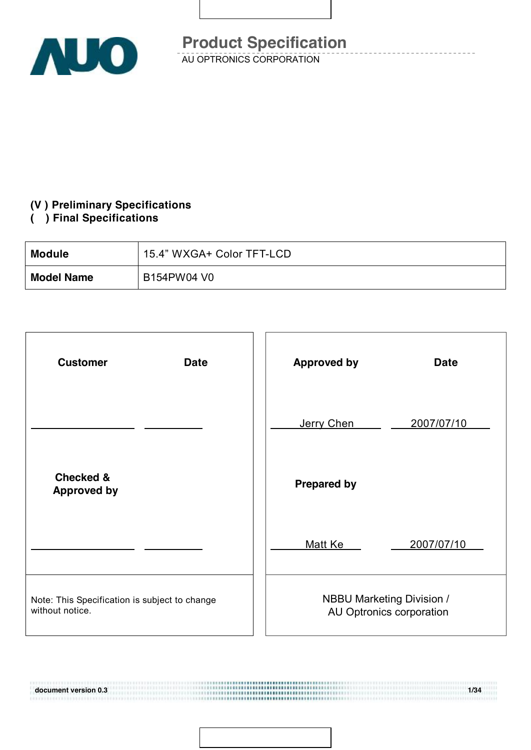

#### **(V ) Preliminary Specifications**

#### **( ) Final Specifications**

111911111111111111111111

| <b>Module</b>     | 15.4" WXGA+ Color TFT-LCD |
|-------------------|---------------------------|
| <b>Model Name</b> | B154PW04 V0               |

| <b>Customer</b><br><b>Date</b>                                   | <b>Approved by</b><br><b>Date</b>                            |
|------------------------------------------------------------------|--------------------------------------------------------------|
|                                                                  | Jerry Chen<br>2007/07/10                                     |
| <b>Checked &amp;</b><br><b>Approved by</b>                       | <b>Prepared by</b>                                           |
|                                                                  | 2007/07/10<br>Matt Ke                                        |
| Note: This Specification is subject to change<br>without notice. | <b>NBBU Marketing Division /</b><br>AU Optronics corporation |

**document version 0.3 1/34**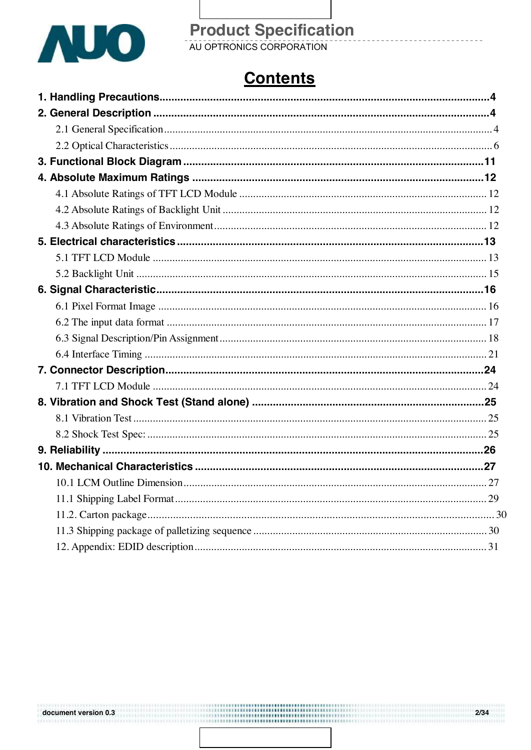

# **Product Specification**<br>AU OPTRONICS CORPORATION

### **Contents**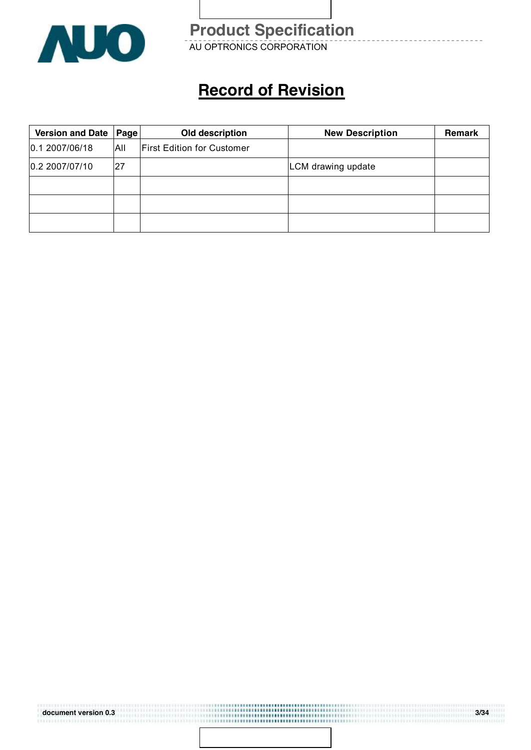

AU OPTRONICS CORPORATION **Product Specification** 

### **Record of Revision**

| <b>Version and Date</b> | Page | Old description                   | <b>New Description</b> | <b>Remark</b> |
|-------------------------|------|-----------------------------------|------------------------|---------------|
| 0.1 2007/06/18          | All  | <b>First Edition for Customer</b> |                        |               |
| 0.2 2007/07/10          | 27   |                                   | LCM drawing update     |               |
|                         |      |                                   |                        |               |
|                         |      |                                   |                        |               |
|                         |      |                                   |                        |               |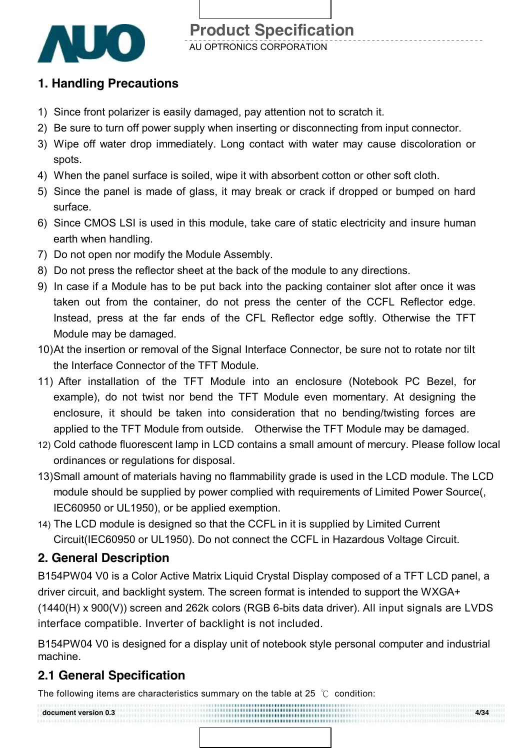

### **1. Handling Precautions**

- 1) Since front polarizer is easily damaged, pay attention not to scratch it.
- 2) Be sure to turn off power supply when inserting or disconnecting from input connector.
- 3) Wipe off water drop immediately. Long contact with water may cause discoloration or spots.
- 4) When the panel surface is soiled, wipe it with absorbent cotton or other soft cloth.
- 5) Since the panel is made of glass, it may break or crack if dropped or bumped on hard surface.
- 6) Since CMOS LSI is used in this module, take care of static electricity and insure human earth when handling.
- 7) Do not open nor modify the Module Assembly.
- 8) Do not press the reflector sheet at the back of the module to any directions.
- 9) In case if a Module has to be put back into the packing container slot after once it was taken out from the container, do not press the center of the CCFL Reflector edge. Instead, press at the far ends of the CFL Reflector edge softly. Otherwise the TFT Module may be damaged.
- 10)At the insertion or removal of the Signal Interface Connector, be sure not to rotate nor tilt the Interface Connector of the TFT Module.
- 11) After installation of the TFT Module into an enclosure (Notebook PC Bezel, for example), do not twist nor bend the TFT Module even momentary. At designing the enclosure, it should be taken into consideration that no bending/twisting forces are applied to the TFT Module from outside. Otherwise the TFT Module may be damaged.
- 12) Cold cathode fluorescent lamp in LCD contains a small amount of mercury. Please follow local ordinances or regulations for disposal.
- 13)Small amount of materials having no flammability grade is used in the LCD module. The LCD module should be supplied by power complied with requirements of Limited Power Source(, IEC60950 or UL1950), or be applied exemption.
- 14) The LCD module is designed so that the CCFL in it is supplied by Limited Current Circuit(IEC60950 or UL1950). Do not connect the CCFL in Hazardous Voltage Circuit.

### **2. General Description**

B154PW04 V0 is a Color Active Matrix Liquid Crystal Display composed of a TFT LCD panel, a driver circuit, and backlight system. The screen format is intended to support the WXGA+ (1440(H) x 900(V)) screen and 262k colors (RGB 6-bits data driver). All input signals are LVDS interface compatible. Inverter of backlight is not included.

B154PW04 V0 is designed for a display unit of notebook style personal computer and industrial machine.

### **2.1 General Specification**

The following items are characteristics summary on the table at 25  $°C$  condition:

**document version 0.3 4/34**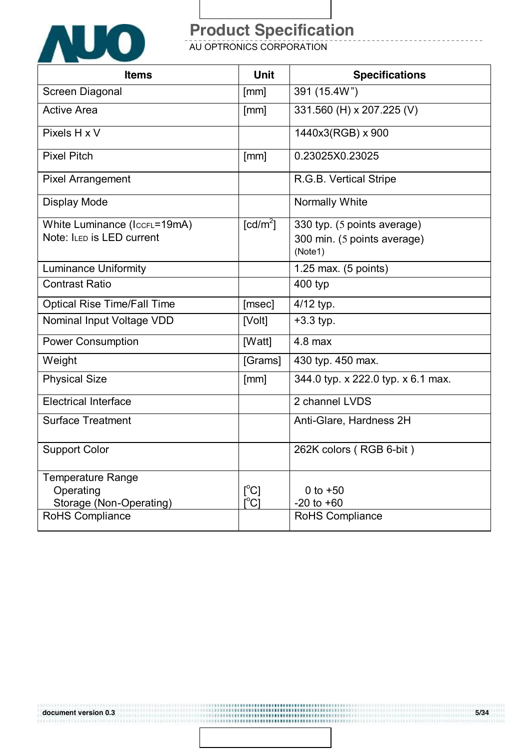

AU OPTRONICS CORPORATION

| <b>Items</b>                       | <b>Unit</b>                             | <b>Specifications</b>              |
|------------------------------------|-----------------------------------------|------------------------------------|
| Screen Diagonal                    | [mm]                                    | 391 (15.4W")                       |
| <b>Active Area</b>                 | [mm]                                    | 331.560 (H) x 207.225 (V)          |
| Pixels H x V                       |                                         | 1440x3(RGB) x 900                  |
| <b>Pixel Pitch</b>                 | [mm]                                    | 0.23025X0.23025                    |
| <b>Pixel Arrangement</b>           |                                         | R.G.B. Vertical Stripe             |
| Display Mode                       |                                         | Normally White                     |
| White Luminance (IccFL=19mA)       | $\lceil cd/m^2 \rceil$                  | 330 typ. (5 points average)        |
| Note: ILED is LED current          |                                         | 300 min. (5 points average)        |
|                                    |                                         | (Note1)                            |
| <b>Luminance Uniformity</b>        |                                         | 1.25 max. (5 points)               |
| <b>Contrast Ratio</b>              |                                         | 400 typ                            |
| <b>Optical Rise Time/Fall Time</b> | [msec]                                  | 4/12 typ.                          |
| Nominal Input Voltage VDD          | [Volt]                                  | $+3.3$ typ.                        |
| <b>Power Consumption</b>           | [Watt]                                  | $4.8$ max                          |
| Weight                             | [Grams]                                 | 430 typ. 450 max.                  |
| <b>Physical Size</b>               | [mm]                                    | 344.0 typ. x 222.0 typ. x 6.1 max. |
| <b>Electrical Interface</b>        |                                         | 2 channel LVDS                     |
| <b>Surface Treatment</b>           |                                         | Anti-Glare, Hardness 2H            |
| <b>Support Color</b>               |                                         | 262K colors (RGB 6-bit)            |
| Temperature Range                  |                                         |                                    |
| Operating                          | $\mathsf{I}^{\circ}$ C]                 | 0 to $+50$                         |
| Storage (Non-Operating)            | $\mathsf{I}^\circ\mathsf{C} \mathsf{I}$ | $-20$ to $+60$                     |
| <b>RoHS Compliance</b>             |                                         | RoHS Compliance                    |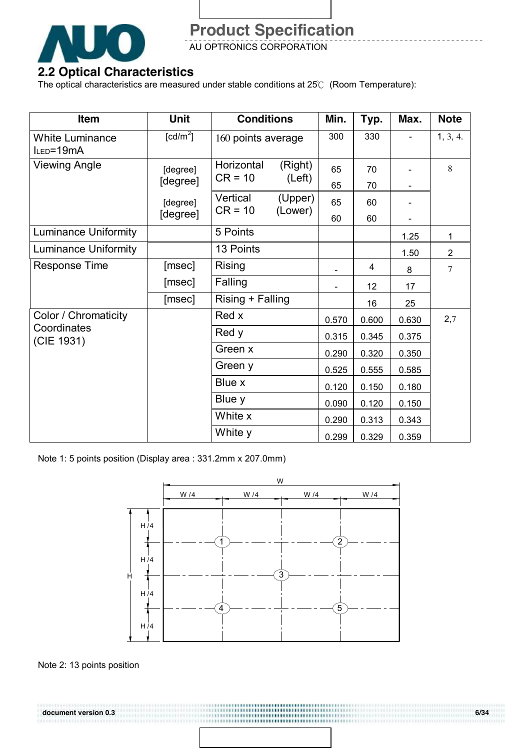

AU OPTRONICS CORPORATION

### **2.2 Optical Characteristics**

The optical characteristics are measured under stable conditions at 25℃ (Room Temperature):

| Item                                | Unit                 | <b>Conditions</b>       |                    | Min.  | Typ.  | Max.  | <b>Note</b>    |
|-------------------------------------|----------------------|-------------------------|--------------------|-------|-------|-------|----------------|
| <b>White Luminance</b><br>ILED=19mA | [cd/m <sup>2</sup> ] | 160 points average      |                    | 300   | 330   |       | 1, 3, 4.       |
| <b>Viewing Angle</b>                | [degree]             | Horizontal<br>$CR = 10$ | (Right)<br>(Left)  | 65    | 70    |       | 8              |
|                                     | [degree]             |                         |                    | 65    | 70    |       |                |
|                                     | [degree]             | Vertical<br>$CR = 10$   | (Upper)<br>(Lower) | 65    | 60    |       |                |
|                                     | [degree]             |                         |                    | 60    | 60    |       |                |
| <b>Luminance Uniformity</b>         |                      | 5 Points                |                    |       |       | 1.25  | $\mathbf{1}$   |
| <b>Luminance Uniformity</b>         |                      | 13 Points               |                    |       |       | 1.50  | $\overline{2}$ |
| <b>Response Time</b>                | [msec]               | Rising                  |                    |       | 4     | 8     | $\overline{7}$ |
|                                     | [msec]               | Falling                 |                    |       | 12    | 17    |                |
|                                     | [msec]               | Rising + Falling        |                    |       | 16    | 25    |                |
| Color / Chromaticity                |                      | Red x                   |                    | 0.570 | 0.600 | 0.630 | 2,7            |
| Coordinates<br>(CIE 1931)           |                      | Red y                   |                    | 0.315 | 0.345 | 0.375 |                |
|                                     |                      | Green x                 |                    | 0.290 | 0.320 | 0.350 |                |
|                                     |                      | Green y                 |                    | 0.525 | 0.555 | 0.585 |                |
|                                     |                      | Blue x                  |                    | 0.120 | 0.150 | 0.180 |                |
|                                     |                      | Blue y                  |                    | 0.090 | 0.120 | 0.150 |                |
|                                     |                      | White x                 |                    | 0.290 | 0.313 | 0.343 |                |
|                                     |                      | White y                 |                    | 0.299 | 0.329 | 0.359 |                |

Note 1: 5 points position (Display area : 331.2mm x 207.0mm)



........................ ,,,,,,,,,,,,,,,,,,,,,,,,,,,,

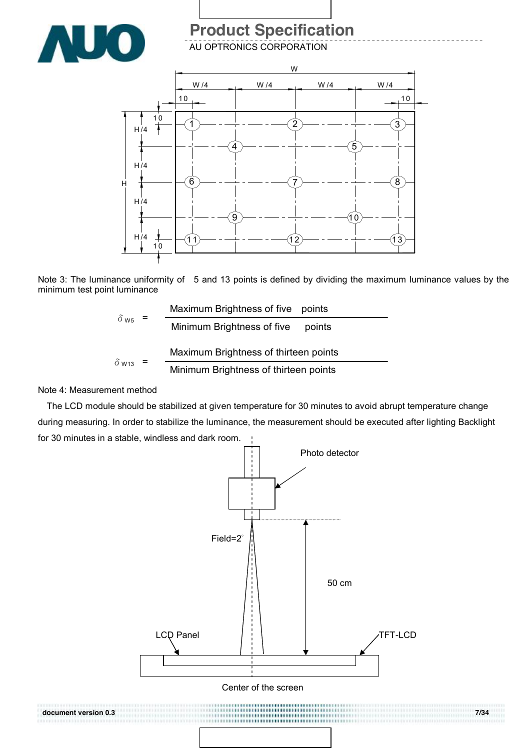

AU OPTRONICS CORPORATION



Note 3: The luminance uniformity of 5 and 13 points is defined by dividing the maximum luminance values by the minimum test point luminance

| $=$                     | Maximum Brightness of five points     |                                       |
|-------------------------|---------------------------------------|---------------------------------------|
| $\delta$ w <sub>5</sub> |                                       | Minimum Brightness of five<br>points  |
| $\delta$ W13            | Maximum Brightness of thirteen points |                                       |
|                         |                                       | Minimum Brightness of thirteen points |

#### Note 4: Measurement method

The LCD module should be stabilized at given temperature for 30 minutes to avoid abrupt temperature change during measuring. In order to stabilize the luminance, the measurement should be executed after lighting Backlight for 30 minutes in a stable, windless and dark room.

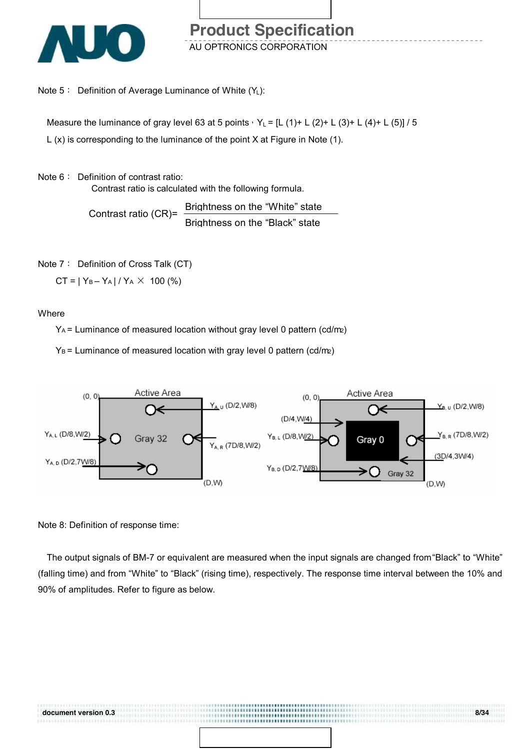

Note  $5:$  Definition of Average Luminance of White  $(Y_L)$ :

Measure the luminance of gray level 63 at 5 points,  $Y_L = [L (1) + L (2) + L (3) + L (4) + L (5)] / 5$ 

L (x) is corresponding to the luminance of the point X at Figure in Note (1).

Note 6: Definition of contrast ratio:

Contrast ratio is calculated with the following formula.

Contrast ratio (CR)= Brightness on the "White" state Brightness on the "Black" state

Note 7: Definition of Cross Talk (CT)

 $CT = |Y_B - Y_A| / Y_A \times 100$  (%)

**Where** 

 $Y_A$  = Luminance of measured location without gray level 0 pattern (cd/m2)

 $Y_B$  = Luminance of measured location with gray level 0 pattern (cd/m2)



Note 8: Definition of response time:

The output signals of BM-7 or equivalent are measured when the input signals are changed from "Black" to "White" (falling time) and from "White" to "Black" (rising time), respectively. The response time interval between the 10% and 90% of amplitudes. Refer to figure as below.

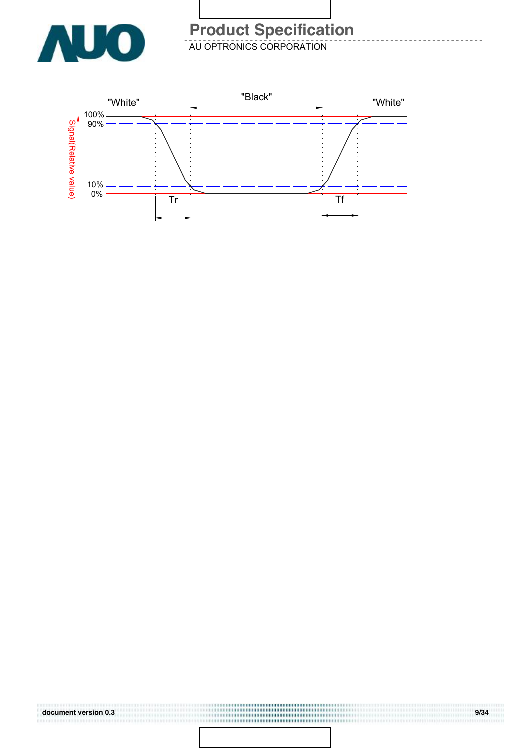

AU OPTRONICS CORPORATION

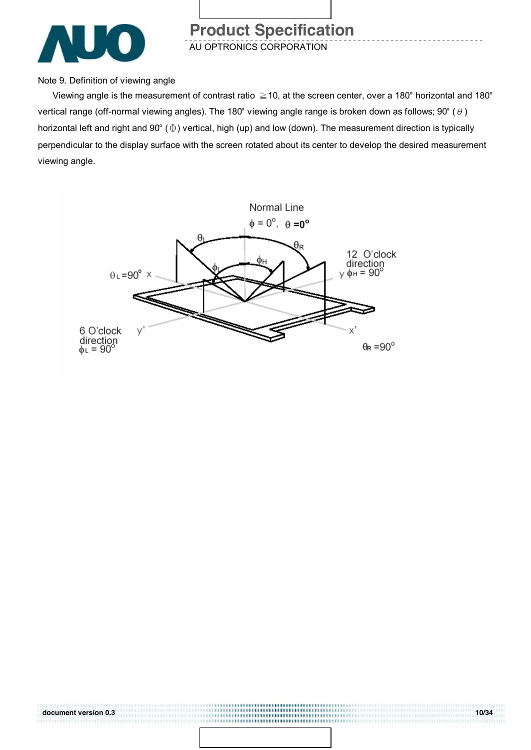

AU OPTRONICS CORPORATION

Note 9. Definition of viewing angle

Viewing angle is the measurement of contrast ratio  $\geq$  10, at the screen center, over a 180° horizontal and 180° vertical range (off-normal viewing angles). The 180° viewing angle range is broken down as follows; 90° ( $\theta$ ) horizontal left and right and 90° (Φ) vertical, high (up) and low (down). The measurement direction is typically perpendicular to the display surface with the screen rotated about its center to develop the desired measurement viewing angle.



..........................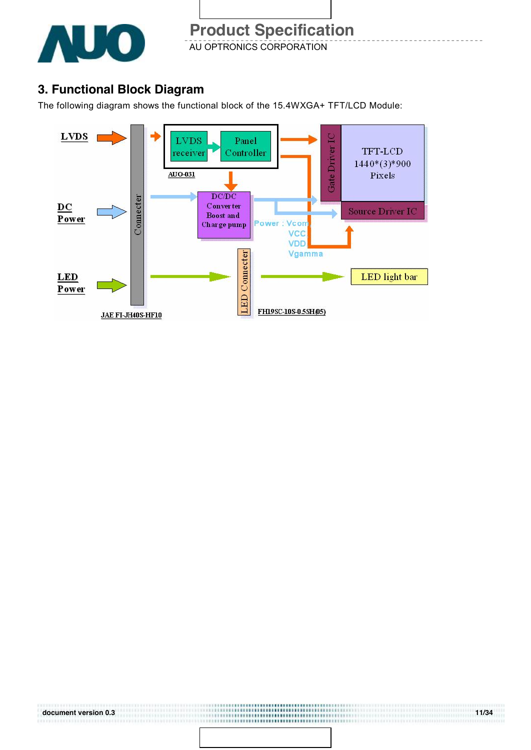

### **3. Functional Block Diagram**

The following diagram shows the functional block of the 15.4WXGA+ TFT/LCD Module:

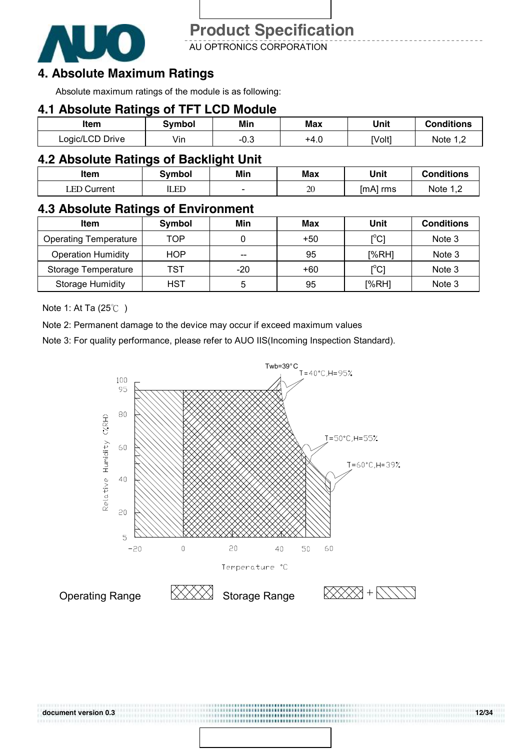

AU OPTRONICS CORPORATION

### **4. Absolute Maximum Ratings**

Absolute maximum ratings of the module is as following:

#### **4.1 Absolute Ratings of TFT LCD Module**

| ltem            | Svmbol | Min    | Max  | Unit   | <b>Conditions</b> |
|-----------------|--------|--------|------|--------|-------------------|
| Logic/LCD Drive | Vin    | $-0.3$ | +4.U | [Volt] | Note 1 C          |

#### **4.2 Absolute Ratings of Backlight Unit**

| Item        | Svmbol | Min  | <b>Max</b> | Unit     | <b>Conditions</b> |
|-------------|--------|------|------------|----------|-------------------|
| LED Current | LED    | $\,$ | 20         | [mA] rms | Note 1            |

### **4.3 Absolute Ratings of Environment**

| <b>Item</b>                  | Symbol     | Min | Max | Unit                                    | <b>Conditions</b> |
|------------------------------|------------|-----|-----|-----------------------------------------|-------------------|
| <b>Operating Temperature</b> | TOP        |     | +50 | $\mathsf{I}^\circ\mathsf{C} \mathsf{I}$ | Note 3            |
| <b>Operation Humidity</b>    | <b>HOP</b> | --  | 95  | [%RH]                                   | Note 3            |
| Storage Temperature          | TST        | -20 | +60 | $\mathsf{I}^\circ\mathsf{C} \mathsf{I}$ | Note 3            |
| <b>Storage Humidity</b>      | HST        | 5   | 95  | [%RH]                                   | Note 3            |

Note 1: At Ta (25℃ )

Note 2: Permanent damage to the device may occur if exceed maximum values

Note 3: For quality performance, please refer to AUO IIS(Incoming Inspection Standard).

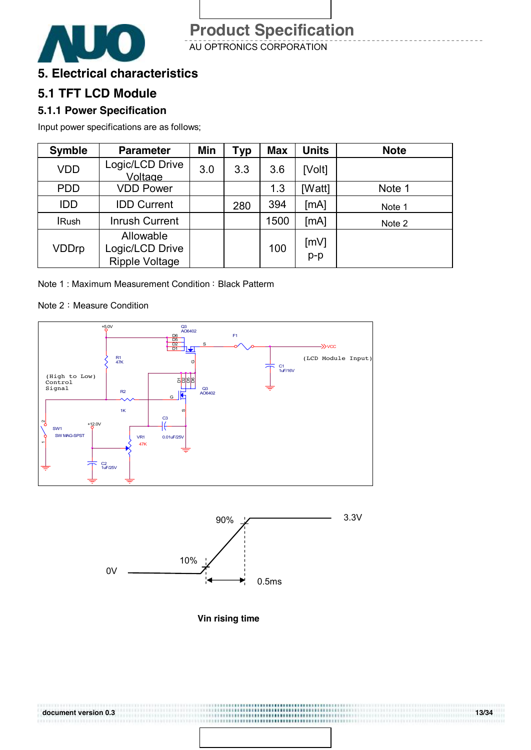

AU OPTRONICS CORPORATION

### **5. Electrical characteristics**

### **5.1 TFT LCD Module**

#### **5.1.1 Power Specification**

Input power specifications are as follows;

| <b>Symble</b> | <b>Parameter</b>                                      | Min | Typ | <b>Max</b> | <b>Units</b> | <b>Note</b> |
|---------------|-------------------------------------------------------|-----|-----|------------|--------------|-------------|
| <b>VDD</b>    | Logic/LCD Drive<br>Voltage                            | 3.0 | 3.3 | 3.6        | [Volt]       |             |
| <b>PDD</b>    | <b>VDD Power</b>                                      |     |     | 1.3        | [Watt]       | Note 1      |
| <b>IDD</b>    | <b>IDD Current</b>                                    |     | 280 | 394        | [MA]         | Note 1      |
| <b>IRush</b>  | <b>Inrush Current</b>                                 |     |     | 1500       | [mA]         | Note 2      |
| <b>VDDrp</b>  | Allowable<br>Logic/LCD Drive<br><b>Ripple Voltage</b> |     |     | 100        | [mV]<br>p-p  |             |

Note 1: Maximum Measurement Condition: Black Patterm

#### Note 2: Measure Condition





**Vin rising time** 

......................................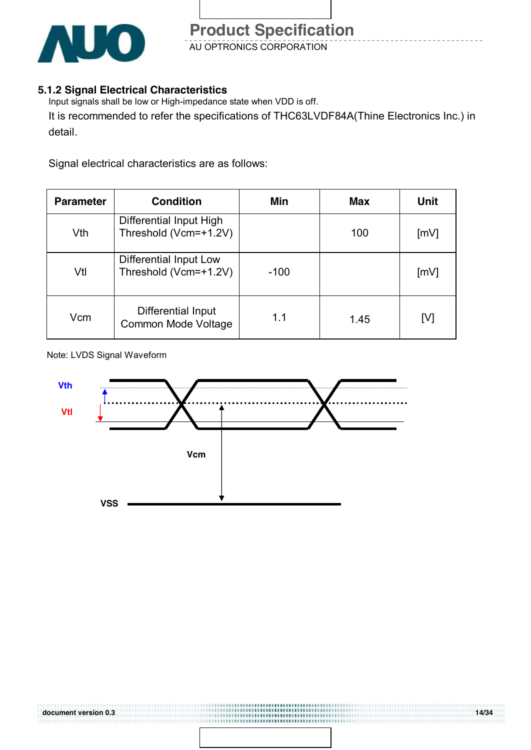

### **5.1.2 Signal Electrical Characteristics**

Input signals shall be low or High-impedance state when VDD is off.

It is recommended to refer the specifications of THC63LVDF84A(Thine Electronics Inc.) in detail.

Signal electrical characteristics are as follows:

| <b>Parameter</b> | <b>Condition</b>                                 | Min    | <b>Max</b> | <b>Unit</b> |
|------------------|--------------------------------------------------|--------|------------|-------------|
| Vth              | Differential Input High<br>Threshold (Vcm=+1.2V) |        | 100        | [mV]        |
| Vtl              | Differential Input Low<br>Threshold (Vcm=+1.2V)  | $-100$ |            | [mV]        |
| Vcm              | Differential Input<br><b>Common Mode Voltage</b> | 1.1    | 1.45       | [V]         |

Note: LVDS Signal Waveform



...........................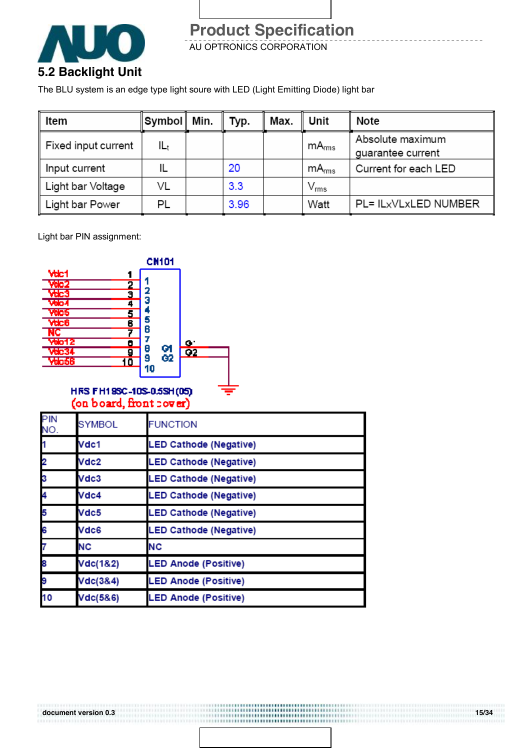

AU OPTRONICS CORPORATION

The BLU system is an edge type light soure with LED (Light Emitting Diode) light bar

| Item                | ∥Symbol∥ Min. | Typ. | Max. | Unit              | Note                                  |
|---------------------|---------------|------|------|-------------------|---------------------------------------|
| Fixed input current | lLt           |      |      | mA <sub>rms</sub> | Absolute maximum<br>guarantee current |
| Input current       |               | 20   |      | mA <sub>rms</sub> | Current for each LED                  |
| Light bar Voltage   | VL            | 3.3  |      | $\rm V_{rms}$     |                                       |
| Light bar Power     | PL            | 3.96 |      | Watt              | PL= ILxVLxLED NUMBER                  |

..................... ------------------------------------

Light bar PIN assignment:

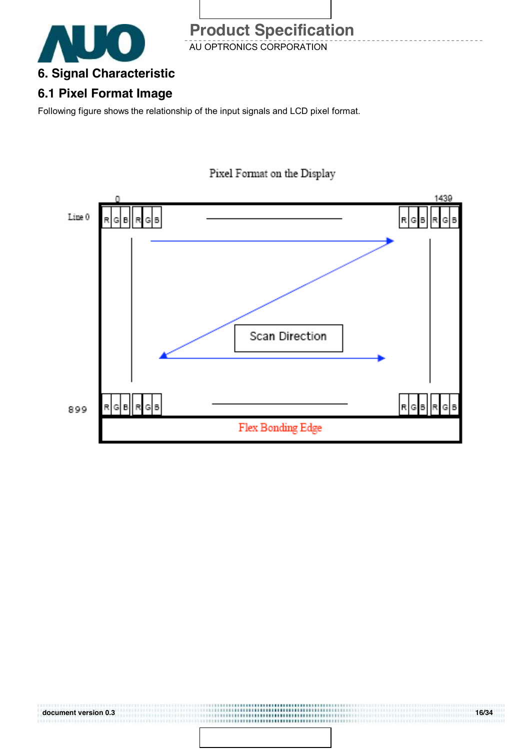

AU OPTRONICS CORPORATION

### **6.1 Pixel Format Image**

Following figure shows the relationship of the input signals and LCD pixel format.



,,,,,,,,,,,,,,,,,,,,,,,,,,,,

#### **document version 0.3 16/34**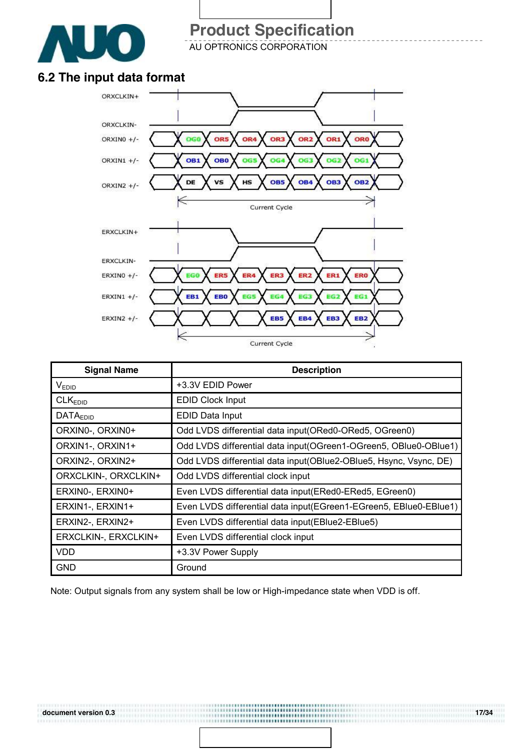

AU OPTRONICS CORPORATION

### **6.2 The input data format**



| <b>Signal Name</b>         | <b>Description</b>                                                 |
|----------------------------|--------------------------------------------------------------------|
| V <sub>EDID</sub>          | +3.3V EDID Power                                                   |
| CLK <sub>EDID</sub>        | <b>EDID Clock Input</b>                                            |
| <b>DATA<sub>EDID</sub></b> | EDID Data Input                                                    |
| ORXINO-, ORXINO+           | Odd LVDS differential data input (ORed0-ORed5, OGreen0)            |
| ORXIN1-, ORXIN1+           | Odd LVDS differential data input(OGreen1-OGreen5, OBlue0-OBlue1)   |
| ORXIN2-, ORXIN2+           | Odd LVDS differential data input(OBlue2-OBlue5, Hsync, Vsync, DE)  |
| ORXCLKIN-, ORXCLKIN+       | Odd LVDS differential clock input                                  |
| ERXINO-, ERXINO+           | Even LVDS differential data input (ERed0-ERed5, EGreen0)           |
| ERXIN1-, ERXIN1+           | Even LVDS differential data input (EGreen1-EGreen5, EBIue0-EBIue1) |
| ERXIN2-, ERXIN2+           | Even LVDS differential data input(EBlue2-EBlue5)                   |
| ERXCLKIN-, ERXCLKIN+       | Even LVDS differential clock input                                 |
| <b>VDD</b>                 | +3.3V Power Supply                                                 |
| <b>GND</b>                 | Ground                                                             |

Note: Output signals from any system shall be low or High-impedance state when VDD is off.

...................................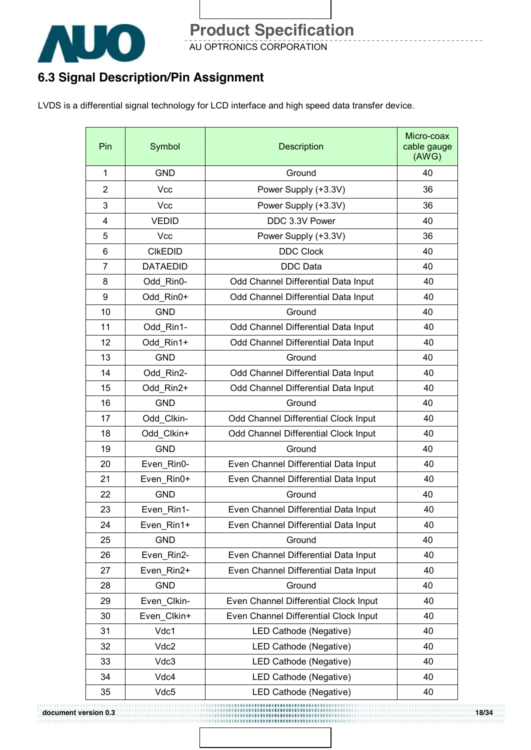

AU OPTRONICS CORPORATION

### **6.3 Signal Description/Pin Assignment**

LVDS is a differential signal technology for LCD interface and high speed data transfer device.

| Pin            | Symbol          | Description                           | Micro-coax<br>cable gauge<br>(AWG) |
|----------------|-----------------|---------------------------------------|------------------------------------|
| 1              | <b>GND</b>      | Ground                                | 40                                 |
| $\overline{2}$ | <b>Vcc</b>      | Power Supply (+3.3V)                  | 36                                 |
| 3              | Vcc             | Power Supply (+3.3V)                  | 36                                 |
| 4              | <b>VEDID</b>    | DDC 3.3V Power                        | 40                                 |
| 5              | Vcc             | Power Supply (+3.3V)                  | 36                                 |
| 6              | <b>CIKEDID</b>  | <b>DDC Clock</b>                      | 40                                 |
| $\overline{7}$ | <b>DATAEDID</b> | <b>DDC</b> Data                       | 40                                 |
| 8              | Odd_Rin0-       | Odd Channel Differential Data Input   | 40                                 |
| 9              | Odd Rin0+       | Odd Channel Differential Data Input   | 40                                 |
| 10             | <b>GND</b>      | Ground                                | 40                                 |
| 11             | Odd Rin1-       | Odd Channel Differential Data Input   | 40                                 |
| 12             | Odd Rin1+       | Odd Channel Differential Data Input   | 40                                 |
| 13             | <b>GND</b>      | Ground                                | 40                                 |
| 14             | Odd_Rin2-       | Odd Channel Differential Data Input   | 40                                 |
| 15             | Odd Rin2+       | Odd Channel Differential Data Input   | 40                                 |
| 16             | <b>GND</b>      | Ground                                | 40                                 |
| 17             | Odd Clkin-      | Odd Channel Differential Clock Input  | 40                                 |
| 18             | Odd Clkin+      | Odd Channel Differential Clock Input  | 40                                 |
| 19             | <b>GND</b>      | Ground                                | 40                                 |
| 20             | Even Rin0-      | Even Channel Differential Data Input  | 40                                 |
| 21             | Even Rin0+      | Even Channel Differential Data Input  | 40                                 |
| 22             | <b>GND</b>      | Ground                                | 40                                 |
| 23             | Even_Rin1-      | Even Channel Differential Data Input  | 40                                 |
| 24             | Even Rin1+      | Even Channel Differential Data Input  | 40                                 |
| 25             | <b>GND</b>      | Ground                                | 40                                 |
| 26             | Even_Rin2-      | Even Channel Differential Data Input  | 40                                 |
| 27             | Even Rin2+      | Even Channel Differential Data Input  | 40                                 |
| 28             | <b>GND</b>      | Ground                                | 40                                 |
| 29             | Even_Clkin-     | Even Channel Differential Clock Input | 40                                 |
| 30             | Even Clkin+     | Even Channel Differential Clock Input | 40                                 |
| 31             | Vdc1            | LED Cathode (Negative)                | 40                                 |
| 32             | Vdc2            | LED Cathode (Negative)                | 40                                 |
| 33             | Vdc3            | LED Cathode (Negative)                | 40                                 |
| 34             | Vdc4            | LED Cathode (Negative)                | 40                                 |
| 35             | Vdc5            | LED Cathode (Negative)                | 40                                 |

**document version 0.3 18/34**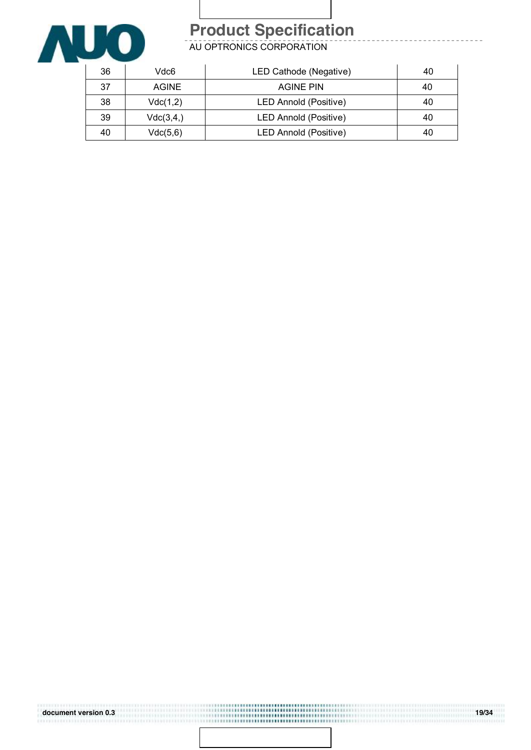

AU OPTRONICS CORPORATION

| 36 | Vdc6         | LED Cathode (Negative) | 40 |
|----|--------------|------------------------|----|
| 37 | <b>AGINE</b> | <b>AGINE PIN</b>       | 40 |
| 38 | Vdc(1,2)     | LED Annold (Positive)  | 40 |
| 39 | Vdc(3,4)     | LED Annold (Positive)  | 40 |
| 40 | Vdc(5,6)     | LED Annold (Positive)  | 40 |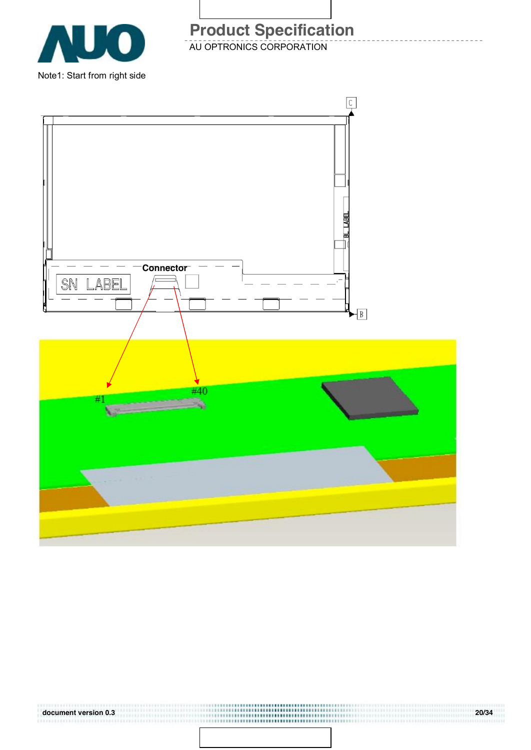

AU OPTRONICS CORPORATION **Product Specification** 

BL LABE **Connector**  $\mathbb L$ <u>ABEI</u> SN  $\blacktriangleright$   $\boxed{B}$ #40 ₩ B)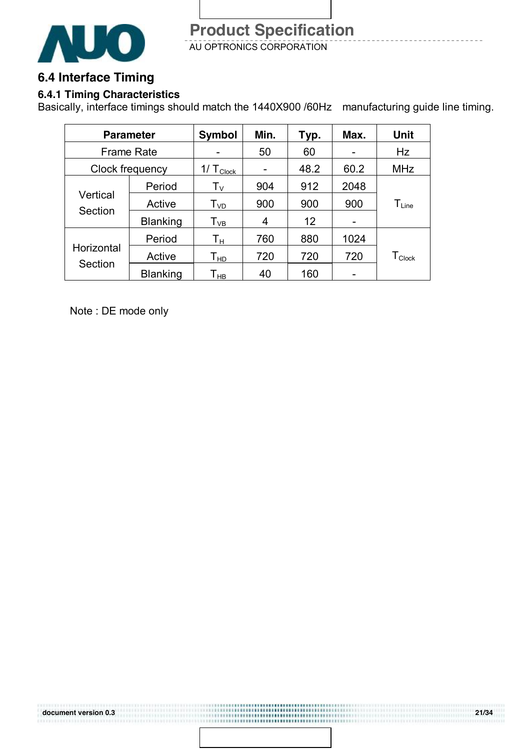

### **6.4 Interface Timing**

### **6.4.1 Timing Characteristics**

Basically, interface timings should match the 1440X900 /60Hz manufacturing guide line timing.

.................... 

| <b>Parameter</b>      |                 | <b>Symbol</b>              | Min. | Typ. | Max. | <b>Unit</b>        |  |
|-----------------------|-----------------|----------------------------|------|------|------|--------------------|--|
| <b>Frame Rate</b>     |                 |                            | 50   | 60   |      | Hz                 |  |
| Clock frequency       |                 | 1/ $T_{\text{Clock}}$      |      | 48.2 | 60.2 | <b>MHz</b>         |  |
| Vertical<br>Section   | Period          | $T_{V}$                    | 904  | 912  | 2048 |                    |  |
|                       | Active          | $T_{VD}$                   | 900  | 900  | 900  | $T_{Line}$         |  |
|                       | <b>Blanking</b> | $\mathsf{T}_{\mathsf{VB}}$ | 4    | 12   |      |                    |  |
| Horizontal<br>Section | Period          | Τн                         | 760  | 880  | 1024 |                    |  |
|                       | Active          | $\mathsf{T}_{\mathsf{HD}}$ | 720  | 720  | 720  | $T_{\text{Clock}}$ |  |
|                       | <b>Blanking</b> | Т <sub>нв</sub>            | 40   | 160  |      |                    |  |

Note : DE mode only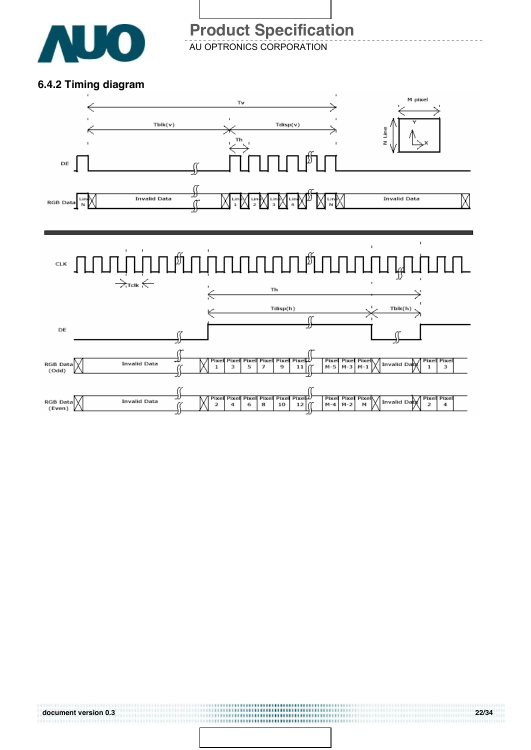

AU OPTRONICS CORPORATION

#### **6.4.2 Timing diagram**

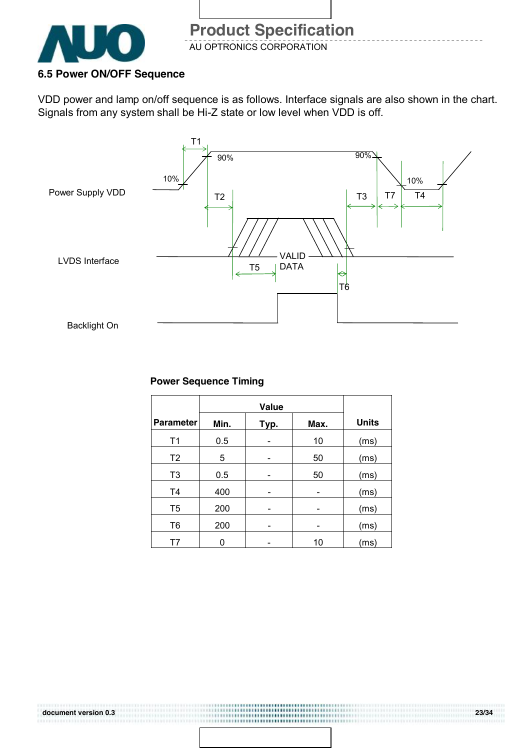

#### **6.5 Power ON/OFF Sequence**

VDD power and lamp on/off sequence is as follows. Interface signals are also shown in the chart. Signals from any system shall be Hi-Z state or low level when VDD is off.



#### **Power Sequence Timing**

| <b>Parameter</b> | Min. | Typ. | Max. | <b>Units</b> |
|------------------|------|------|------|--------------|
| T1               | 0.5  |      | 10   | (ms)         |
| T <sub>2</sub>   | 5    |      | 50   | (ms)         |
| T <sub>3</sub>   | 0.5  |      | 50   | (ms)         |
| T <sub>4</sub>   | 400  |      |      | (ms)         |
| T <sub>5</sub>   | 200  |      |      | (ms)         |
| T <sub>6</sub>   | 200  |      |      | (ms)         |
| Τ7               |      |      | 10   | (ms)         |

..................... ,,,,,,,,,,,,,,,,,,,,,,,,,,,,,,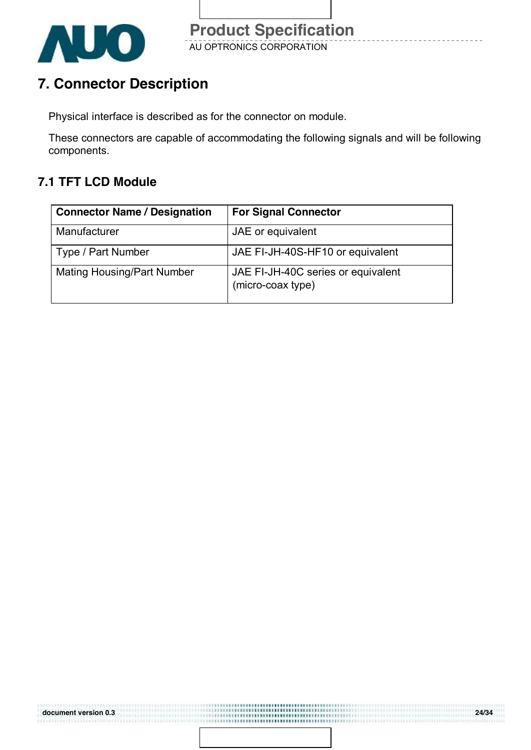

### **7. Connector Description**

Physical interface is described as for the connector on module.

These connectors are capable of accommodating the following signals and will be following components.

### **7.1 TFT LCD Module**

| <b>Connector Name / Designation</b> | <b>For Signal Connector</b>                             |
|-------------------------------------|---------------------------------------------------------|
| Manufacturer                        | JAE or equivalent                                       |
| Type / Part Number                  | JAE FI-JH-40S-HF10 or equivalent                        |
| <b>Mating Housing/Part Number</b>   | JAE FI-JH-40C series or equivalent<br>(micro-coax type) |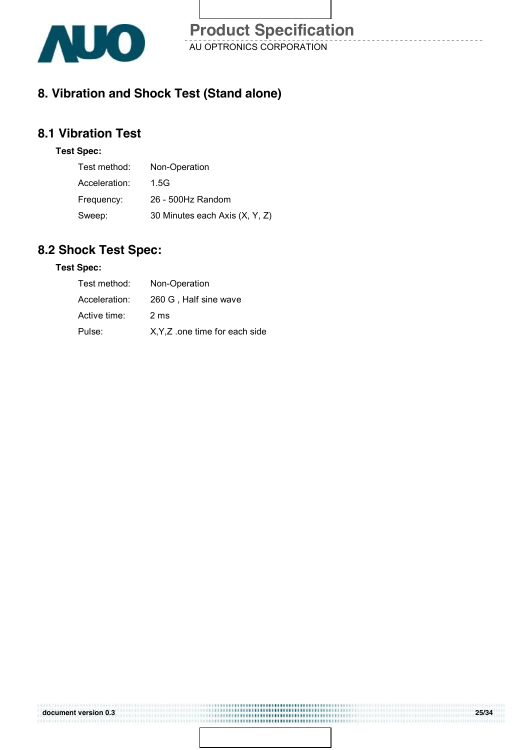

### **8. Vibration and Shock Test (Stand alone)**

### **8.1 Vibration Test**

#### **Test Spec:**

| Test method:  | Non-Operation                  |
|---------------|--------------------------------|
| Acceleration: | 1.5G                           |
| Frequency:    | 26 - 500Hz Random              |
| Sweep:        | 30 Minutes each Axis (X, Y, Z) |

### **8.2 Shock Test Spec:**

#### **Test Spec:**

| Test method:  | Non-Operation                  |
|---------------|--------------------------------|
| Acceleration: | 260 G. Half sine wave          |
| Active time:  | 2 ms                           |
| Pulse:        | X, Y, Z one time for each side |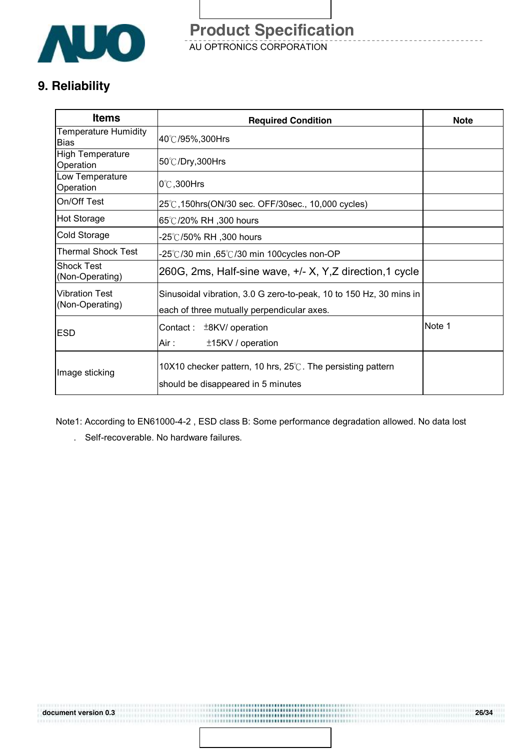

AU OPTRONICS CORPORATION **Product Specification** 

### **9. Reliability**

| <b>Items</b>                               | <b>Required Condition</b>                                                                                        | <b>Note</b> |
|--------------------------------------------|------------------------------------------------------------------------------------------------------------------|-------------|
| <b>Temperature Humidity</b><br><b>Bias</b> | 40℃/95%,300Hrs                                                                                                   |             |
| <b>High Temperature</b><br>Operation       | 50℃/Dry,300Hrs                                                                                                   |             |
| Low Temperature<br>Operation               | $0^\circ\text{C}$ , 300Hrs                                                                                       |             |
| On/Off Test                                | 25℃,150hrs(ON/30 sec. OFF/30sec., 10,000 cycles)                                                                 |             |
| <b>Hot Storage</b>                         | 65℃/20% RH ,300 hours                                                                                            |             |
| Cold Storage                               | -25℃/50% RH ,300 hours                                                                                           |             |
| <b>Thermal Shock Test</b>                  | -25°C/30 min ,65°C/30 min 100cycles non-OP                                                                       |             |
| <b>Shock Test</b><br>(Non-Operating)       | 260G, 2ms, Half-sine wave, +/- X, Y, Z direction, 1 cycle                                                        |             |
| <b>Vibration Test</b><br>(Non-Operating)   | Sinusoidal vibration, 3.0 G zero-to-peak, 10 to 150 Hz, 30 mins in<br>each of three mutually perpendicular axes. |             |
| <b>ESD</b>                                 | ±8KV/ operation<br>Contact :<br>±15KV / operation<br>Air :                                                       | Note 1      |
| Image sticking                             | 10X10 checker pattern, 10 hrs, $25^{\circ}$ . The persisting pattern<br>should be disappeared in 5 minutes       |             |

Note1: According to EN61000-4-2 , ESD class B: Some performance degradation allowed. No data lost

,,,,,,,,,,,,,,,,,,, ------------------------------------

. Self-recoverable. No hardware failures.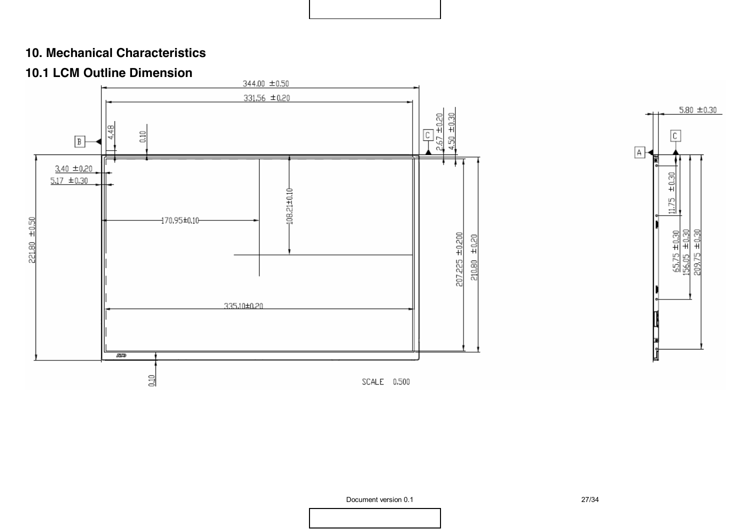### **10. Mechanical Characteristics**

### **10.1 LCM Outline Dimension**



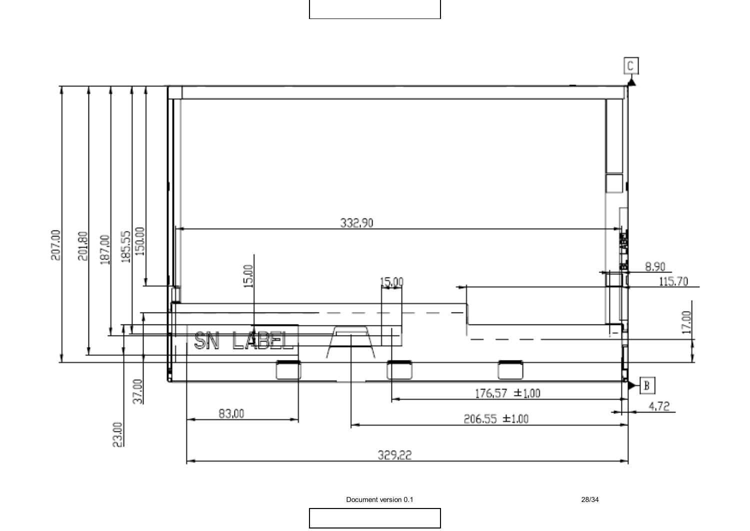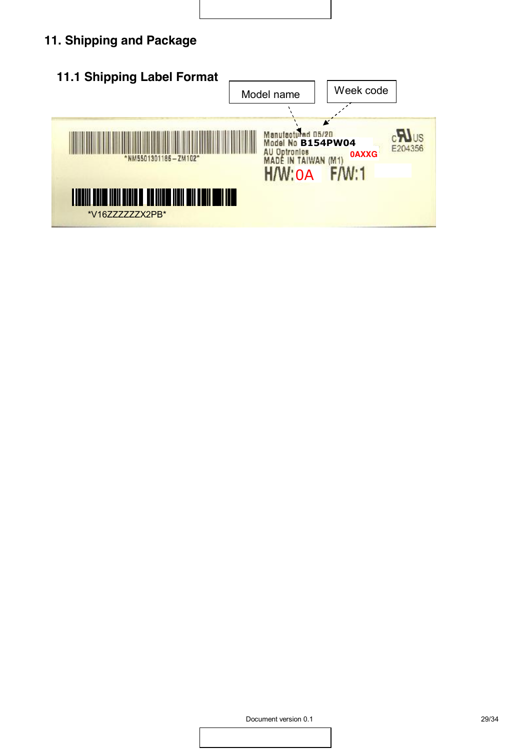### **11. Shipping and Package**

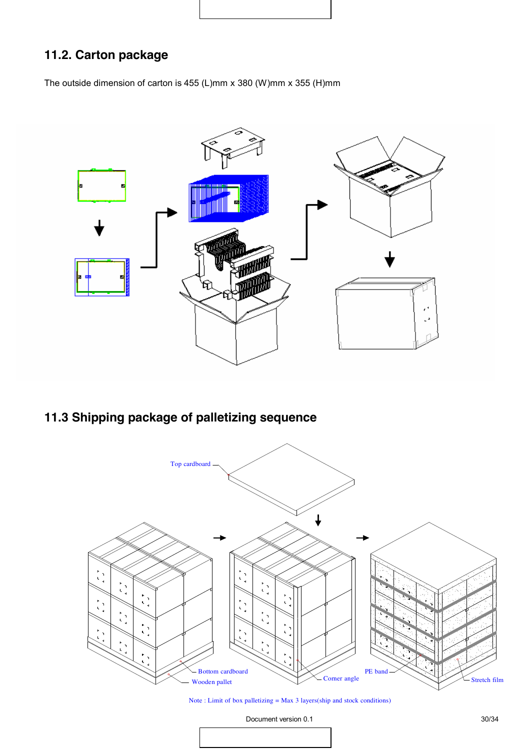### **11.2. Carton package**

The outside dimension of carton is 455 (L)mm x 380 (W)mm x 355 (H)mm



### **11.3 Shipping package of palletizing sequence**



Note : Limit of box palletizing = Max 3 layers(ship and stock conditions)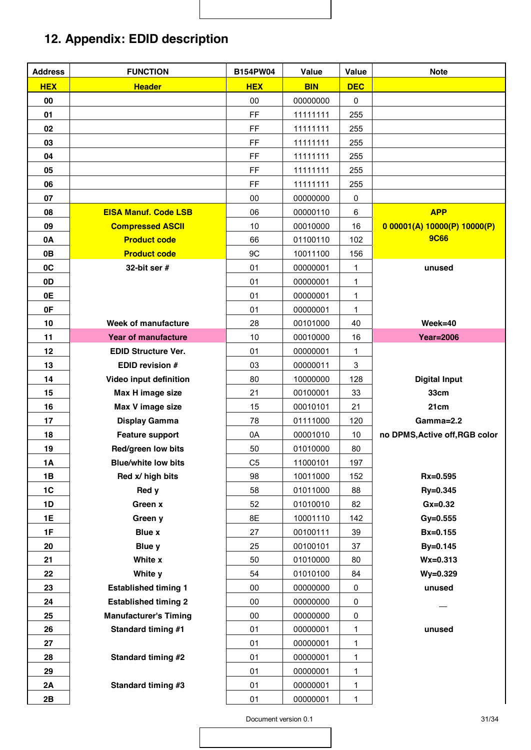### **12. Appendix: EDID description**

| <b>Address</b> | <b>FUNCTION</b>              | <b>B154PW04</b> | Value      | Value      | <b>Note</b>                    |
|----------------|------------------------------|-----------------|------------|------------|--------------------------------|
| <b>HEX</b>     | <b>Header</b>                | <b>HEX</b>      | <b>BIN</b> | <b>DEC</b> |                                |
| 00             |                              | 00              | 00000000   | $\pmb{0}$  |                                |
| 01             |                              | FF              | 11111111   | 255        |                                |
| 02             |                              | FF              | 11111111   | 255        |                                |
| 03             |                              | FF              | 11111111   | 255        |                                |
| 04             |                              | FF              | 11111111   | 255        |                                |
| 05             |                              | FF              | 11111111   | 255        |                                |
| 06             |                              | FF              | 11111111   | 255        |                                |
| 07             |                              | 00              | 00000000   | 0          |                                |
| 08             | <b>EISA Manuf. Code LSB</b>  | 06              | 00000110   | 6          | <b>APP</b>                     |
| 09             | <b>Compressed ASCII</b>      | 10              | 00010000   | 16         | 0.00001(A) 10000(P) 10000(P)   |
| 0A             | <b>Product code</b>          | 66              | 01100110   | 102        | <b>9C66</b>                    |
| 0B             | <b>Product code</b>          | 9C              | 10011100   | 156        |                                |
| 0C             | 32-bit ser $#$               | 01              | 00000001   | 1          | unused                         |
| 0D             |                              | 01              | 00000001   | 1          |                                |
| 0E             |                              | 01              | 00000001   | 1          |                                |
| 0F             |                              | 01              | 00000001   | 1          |                                |
| 10             | Week of manufacture          | 28              | 00101000   | 40         | $Week=40$                      |
| 11             | <b>Year of manufacture</b>   | 10              | 00010000   | 16         | <b>Year=2006</b>               |
| 12             | <b>EDID Structure Ver.</b>   | 01              | 00000001   | 1          |                                |
| 13             | <b>EDID revision #</b>       | 03              | 00000011   | 3          |                                |
| 14             | Video input definition       | 80              | 10000000   | 128        | <b>Digital Input</b>           |
| 15             | Max H image size             | 21              | 00100001   | 33         | 33cm                           |
| 16             | Max V image size             | 15              | 00010101   | 21         | 21cm                           |
| 17             | <b>Display Gamma</b>         | 78              | 01111000   | 120        | Gamma=2.2                      |
| 18             | <b>Feature support</b>       | 0A              | 00001010   | 10         | no DPMS, Active off, RGB color |
| 19             | Red/green low bits           | 50              | 01010000   | 80         |                                |
| 1A             | <b>Blue/white low bits</b>   | C <sub>5</sub>  | 11000101   | 197        |                                |
| 1B             | Red x/ high bits             | 98              | 10011000   | 152        | Rx=0.595                       |
| 1C             | Red y                        | 58              | 01011000   | 88         | Ry=0.345                       |
| 1D             | Green x                      | 52              | 01010010   | 82         | $Gx=0.32$                      |
| 1E             | Green y                      | 8E              | 10001110   | 142        | $Gy = 0.555$                   |
| 1F             | <b>Blue x</b>                | 27              | 00100111   | 39         | Bx=0.155                       |
| 20             | Blue y                       | 25              | 00100101   | 37         | By=0.145                       |
| 21             | White x                      | 50              | 01010000   | 80         | $Wx = 0.313$                   |
| 22             | White y                      | 54              | 01010100   | 84         | Wy=0.329                       |
| 23             | <b>Established timing 1</b>  | $00\,$          | 00000000   | 0          | unused                         |
| 24             | <b>Established timing 2</b>  | 00              | 00000000   | 0          |                                |
| 25             | <b>Manufacturer's Timing</b> | 00              | 00000000   | 0          |                                |
| 26             | <b>Standard timing #1</b>    | 01              | 00000001   | 1          | unused                         |
| 27             |                              | 01              | 00000001   | 1          |                                |
| 28             | <b>Standard timing #2</b>    | 01              | 00000001   | 1          |                                |
| 29             |                              | 01              | 00000001   | 1          |                                |
| 2A             | <b>Standard timing #3</b>    | 01              | 00000001   | 1          |                                |
| 2B             |                              | 01              | 00000001   | 1          |                                |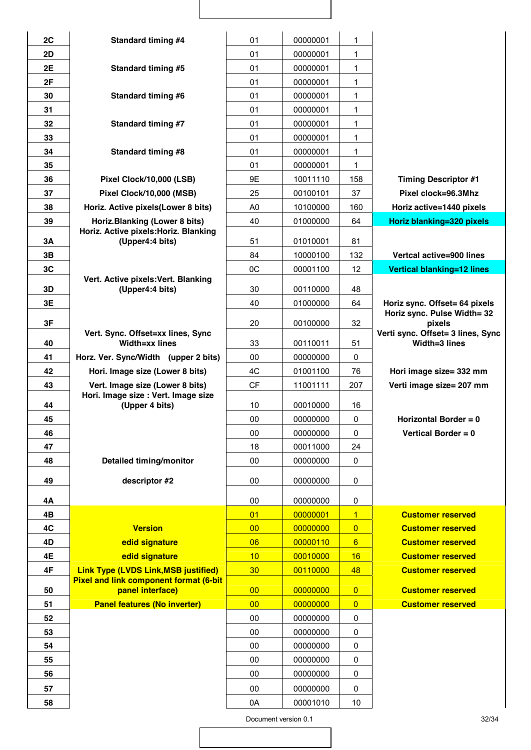| 2C        | <b>Standard timing #4</b>                                | 01             | 00000001 | 1              |                                                              |
|-----------|----------------------------------------------------------|----------------|----------|----------------|--------------------------------------------------------------|
| 2D        |                                                          | 01             | 00000001 | 1              |                                                              |
| 2E        | <b>Standard timing #5</b>                                | 01             | 00000001 | 1              |                                                              |
| 2F        |                                                          | 01             | 00000001 | 1              |                                                              |
| 30        | <b>Standard timing #6</b>                                | 01             | 00000001 | 1              |                                                              |
| 31        |                                                          | 01             | 00000001 | 1              |                                                              |
| 32        | <b>Standard timing #7</b>                                | 01             | 00000001 | 1              |                                                              |
| 33        |                                                          | 01             | 00000001 | 1              |                                                              |
| 34        | <b>Standard timing #8</b>                                | 01             | 00000001 | 1              |                                                              |
| 35        |                                                          | 01             | 00000001 | 1              |                                                              |
| 36        | Pixel Clock/10,000 (LSB)                                 | 9E             | 10011110 | 158            | <b>Timing Descriptor #1</b>                                  |
| 37        | Pixel Clock/10,000 (MSB)                                 | 25             | 00100101 | 37             | Pixel clock=96.3Mhz                                          |
| 38        | Horiz. Active pixels (Lower 8 bits)                      | A <sub>0</sub> | 10100000 | 160            | Horiz active=1440 pixels                                     |
| 39        | Horiz. Blanking (Lower 8 bits)                           | 40             | 01000000 | 64             | Horiz blanking=320 pixels                                    |
| <b>3A</b> | Horiz. Active pixels: Horiz. Blanking<br>(Upper4:4 bits) | 51             | 01010001 | 81             |                                                              |
| 3B        |                                                          | 84             | 10000100 | 132            | Vertcal active=900 lines                                     |
| 3C        |                                                          | OC             | 00001100 | 12             | <b>Vertical blanking=12 lines</b>                            |
|           | Vert. Active pixels: Vert. Blanking                      |                |          |                |                                                              |
| 3D        | (Upper4:4 bits)                                          | 30             | 00110000 | 48             |                                                              |
| 3E        |                                                          | 40             | 01000000 | 64             | Horiz sync. Offset= 64 pixels<br>Horiz sync. Pulse Width= 32 |
| 3F        | Vert. Sync. Offset=xx lines, Sync                        | 20             | 00100000 | 32             | pixels<br>Verti sync. Offset= 3 lines, Sync                  |
| 40        | Width=xx lines                                           | 33             | 00110011 | 51             | Width=3 lines                                                |
| 41        | Horz. Ver. Sync/Width (upper 2 bits)                     | 00             | 00000000 | 0              |                                                              |
| 42        | Hori. Image size (Lower 8 bits)                          | 4C             | 01001100 | 76             | Hori image size= 332 mm                                      |
| 43        | Vert. Image size (Lower 8 bits)                          | <b>CF</b>      | 11001111 | 207            | Verti image size= 207 mm                                     |
| 44        | Hori. Image size : Vert. Image size<br>(Upper 4 bits)    | 10             | 00010000 | 16             |                                                              |
| 45        |                                                          | 00             | 00000000 | 0              | Horizontal Border = $0$                                      |
| 46        |                                                          | 00             | 00000000 | 0              | Vertical Border = $0$                                        |
| 47        |                                                          | 18             | 00011000 | 24             |                                                              |
| 48        | Detailed timing/monitor                                  | 00             | 00000000 | 0              |                                                              |
| 49        | descriptor #2                                            | 00             | 00000000 | 0              |                                                              |
| 4Α        |                                                          | 00             | 00000000 | 0              |                                                              |
| 4B        |                                                          | 01             | 00000001 | $\overline{1}$ | <b>Customer reserved</b>                                     |
| 4C        | <b>Version</b>                                           | 00             | 00000000 | $\overline{0}$ | <b>Customer reserved</b>                                     |
| 4D        | edid signature                                           | 06             | 00000110 | 6              | <b>Customer reserved</b>                                     |
| 4E        | edid signature                                           | 10             | 00010000 | 16             | <b>Customer reserved</b>                                     |
| 4F        | <b>Link Type (LVDS Link, MSB justified)</b>              | 30             | 00110000 | 48             | <b>Customer reserved</b>                                     |
|           | <b>Pixel and link component format (6-bit</b>            |                |          |                |                                                              |
| 50        | panel interface)                                         | 00             | 00000000 | $\overline{0}$ | <b>Customer reserved</b>                                     |
| 51        | <b>Panel features (No inverter)</b>                      | 00             | 00000000 | $\overline{0}$ | <b>Customer reserved</b>                                     |
| 52        |                                                          | 00             | 00000000 | 0              |                                                              |
| 53        |                                                          | 00             | 00000000 | 0              |                                                              |
| 54        |                                                          | 00             | 00000000 | 0              |                                                              |
| 55        |                                                          | 00             | 00000000 | 0              |                                                              |
| 56        |                                                          | 00             | 00000000 | 0              |                                                              |
| 57        |                                                          | 00             | 00000000 | 0              |                                                              |
| 58        |                                                          | 0A             | 00001010 | 10             |                                                              |